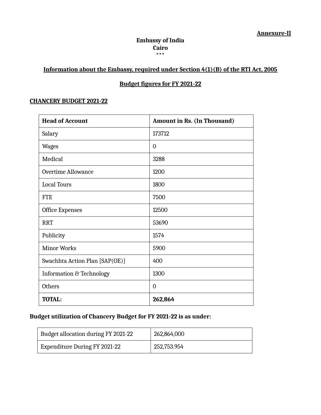#### **Embassy of India Cairo \*\*\***

## **Information about the Embassy, required under Section 4(1)(B) of the RTI Act, 2005**

## **Budget figures for FY 2021-22**

#### **CHANCERY BUDGET 2021-22**

| <b>Head of Account</b>         | <b>Amount in Rs. (In Thousand)</b> |
|--------------------------------|------------------------------------|
| Salary                         | 173712                             |
| <b>Wages</b>                   | $\overline{0}$                     |
| Medical                        | 3288                               |
| <b>Overtime Allowance</b>      | 1200                               |
| <b>Local Tours</b>             | 1800                               |
| <b>FTE</b>                     | 7500                               |
| <b>Office Expenses</b>         | 12500                              |
| <b>RRT</b>                     | 53690                              |
| Publicity                      | 1574                               |
| <b>Minor Works</b>             | 5900                               |
| Swachhta Action Plan [SAP(OE)] | 400                                |
| Information & Technology       | 1300                               |
| <b>Others</b>                  | $\overline{0}$                     |
| <b>TOTAL:</b>                  | 262,864                            |

## **Budget utilization of Chancery Budget for FY 2021-22 is as under:**

| Budget allocation during FY 2021-22 | 262,864,000 |
|-------------------------------------|-------------|
| Expenditure During FY 2021-22       | 252,753.954 |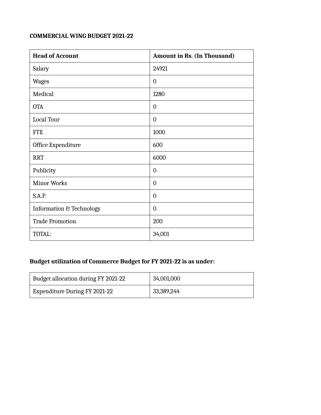# **COMMERCIAL WING BUDGET 2021-22**

| <b>Head of Account</b>   | <b>Amount in Rs. (In Thousand)</b> |
|--------------------------|------------------------------------|
| Salary                   | 24921                              |
| <b>Wages</b>             | $\overline{0}$                     |
| Medical                  | 1280                               |
| <b>OTA</b>               | $\overline{0}$                     |
| Local Tour               | $\overline{0}$                     |
| <b>FTE</b>               | 1000                               |
| Office Expenditure       | 600                                |
| <b>RRT</b>               | 6000                               |
| Publicity                | 0                                  |
| <b>Minor Works</b>       | $\overline{0}$                     |
| <b>S.A.P.</b>            | 0                                  |
| Information & Technology | $\overline{0}$                     |
| <b>Trade Promotion</b>   | 200                                |
| TOTAL:                   | 34,001                             |

#### **Budget utilization of Commerce Budget for FY 2021-22 is as under:**

| Budget allocation during FY 2021-22 | 34,001,000 |
|-------------------------------------|------------|
| Expenditure During FY 2021-22       | 33,389,244 |